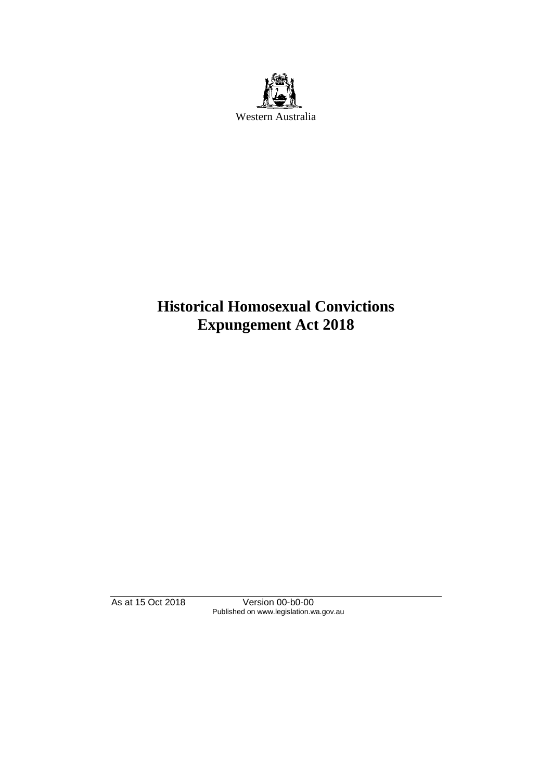

# **Historical Homosexual Convictions Expungement Act 2018**

As at 15 Oct 2018 Version 00-b0-00 Published on www.legislation.wa.gov.au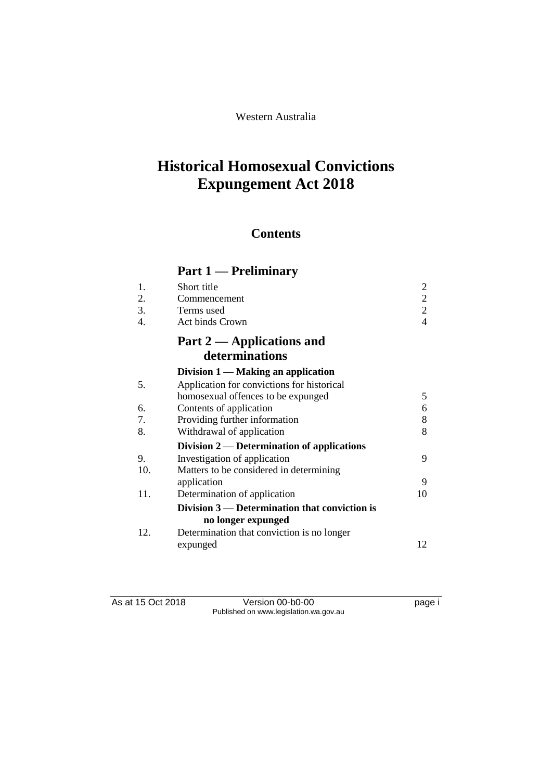# Western Australia

# **Historical Homosexual Convictions Expungement Act 2018**

# **Contents**

# **Part 1 — Preliminary**

| Short title                                     |                                            |
|-------------------------------------------------|--------------------------------------------|
| Commencement                                    | $\overline{2}$                             |
| Terms used                                      | $\overline{2}$                             |
| Act binds Crown                                 | 4                                          |
| Part 2 — Applications and                       |                                            |
| determinations                                  |                                            |
| Division $1 -$ Making an application            |                                            |
|                                                 |                                            |
| homosexual offences to be expunged              | 5                                          |
| Contents of application                         | 6                                          |
| Providing further information                   | 8                                          |
| Withdrawal of application                       | 8                                          |
| Division $2$ — Determination of applications    |                                            |
| Investigation of application                    | 9                                          |
| Matters to be considered in determining         |                                            |
| application                                     | 9                                          |
| Determination of application                    | 10                                         |
| Division $3$ — Determination that conviction is |                                            |
| no longer expunged                              |                                            |
| Determination that conviction is no longer      |                                            |
| expunged                                        | 12                                         |
|                                                 | Application for convictions for historical |

As at 15 Oct 2018 Version 00-b0-00 page i Published on www.legislation.wa.gov.au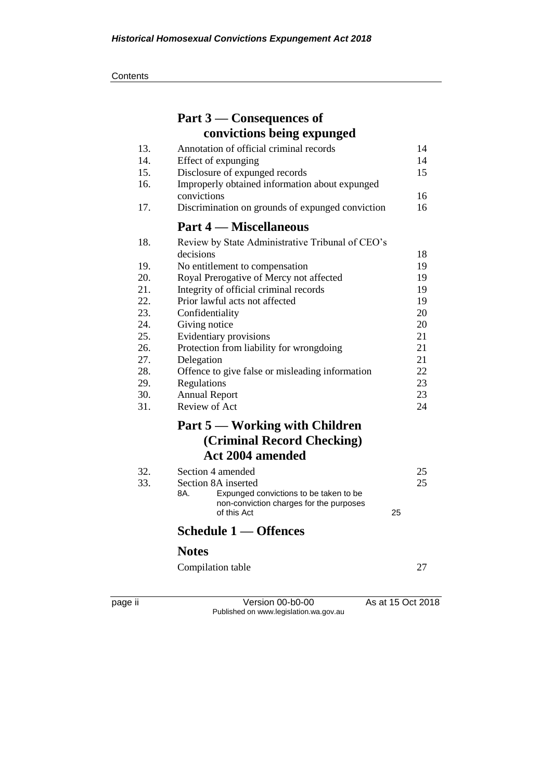**Contents** 

|            | Part 3 — Consequences of                                      |          |
|------------|---------------------------------------------------------------|----------|
|            | convictions being expunged                                    |          |
| 13.        | Annotation of official criminal records                       | 14       |
| 14.        | Effect of expunging                                           | 14       |
| 15.        | Disclosure of expunged records                                | 15       |
| 16.        | Improperly obtained information about expunged                |          |
|            | convictions                                                   | 16       |
| 17.        | Discrimination on grounds of expunged conviction              | 16       |
|            | <b>Part 4 — Miscellaneous</b>                                 |          |
| 18.        | Review by State Administrative Tribunal of CEO's              |          |
|            | decisions                                                     | 18       |
| 19.        | No entitlement to compensation                                | 19       |
| 20.        | Royal Prerogative of Mercy not affected                       | 19       |
| 21.        | Integrity of official criminal records                        | 19       |
| 22.        | Prior lawful acts not affected                                | 19       |
| 23.        | Confidentiality                                               | 20       |
| 24.<br>25. | Giving notice                                                 | 20       |
| 26.        | Evidentiary provisions                                        | 21<br>21 |
| 27.        | Protection from liability for wrongdoing                      | 21       |
| 28.        | Delegation<br>Offence to give false or misleading information | 22       |
| 29.        | Regulations                                                   | 23       |
| 30.        | <b>Annual Report</b>                                          | 23       |
| 31.        | Review of Act                                                 | 24       |
|            | Part 5 — Working with Children                                |          |
|            |                                                               |          |
|            | (Criminal Record Checking)                                    |          |
|            | <b>Act 2004 amended</b>                                       |          |
| 32.        | Section 4 amended                                             | 25       |
| 33.        | Section 8A inserted                                           | 25       |
|            | 8A.<br>Expunged convictions to be taken to be                 |          |
|            | non-conviction charges for the purposes<br>of this Act<br>25  |          |
|            | Schedule 1 — Offences                                         |          |
|            | <b>Notes</b>                                                  |          |
|            | Compilation table                                             | 27       |
|            |                                                               |          |

page ii Version 00-b0-00 As at 15 Oct 2018 Published on www.legislation.wa.gov.au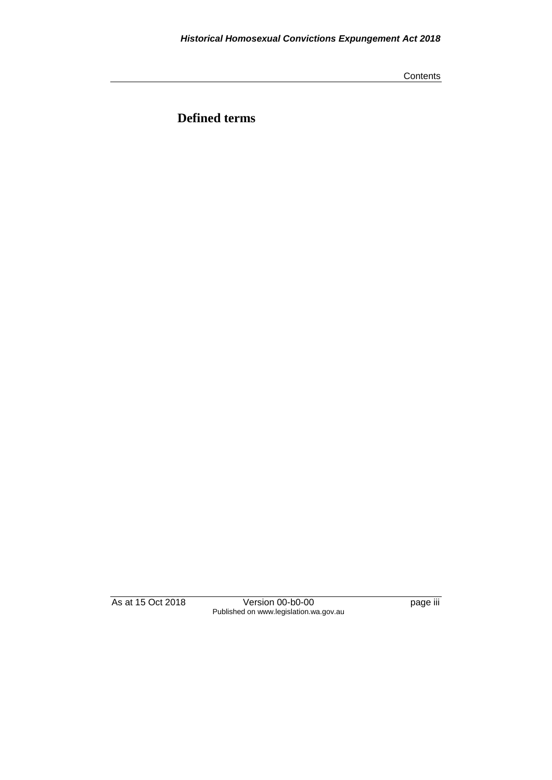**Contents** 

**Defined terms**

As at 15 Oct 2018 Version 00-b0-00 page iii Published on www.legislation.wa.gov.au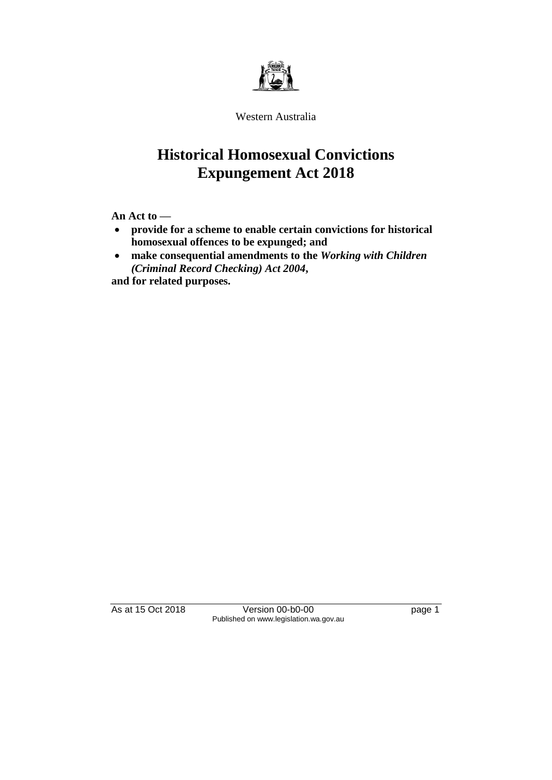

Western Australia

# **Historical Homosexual Convictions Expungement Act 2018**

**An Act to —**

- **provide for a scheme to enable certain convictions for historical homosexual offences to be expunged; and**
- **make consequential amendments to the** *Working with Children (Criminal Record Checking) Act 2004***,**

**and for related purposes.**

As at 15 Oct 2018 Version 00-b0-00 page 1 Published on www.legislation.wa.gov.au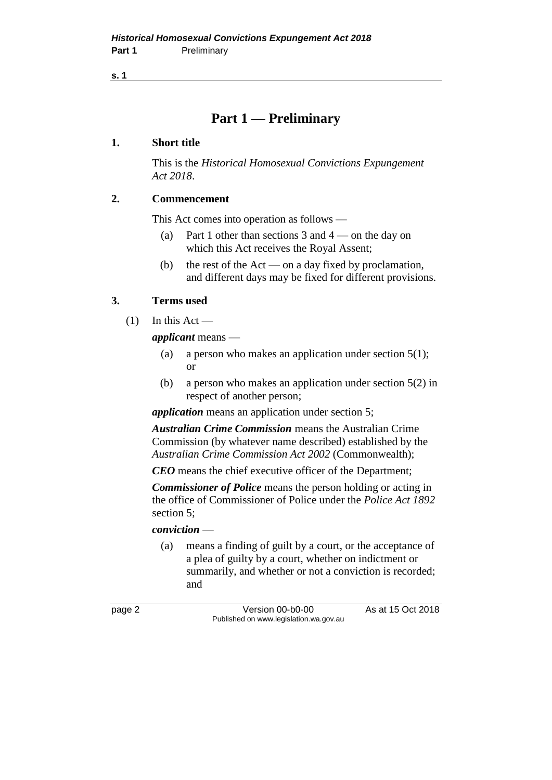**s. 1**

# **Part 1 — Preliminary**

### **1. Short title**

This is the *Historical Homosexual Convictions Expungement Act 2018*.

## **2. Commencement**

This Act comes into operation as follows —

- (a) Part 1 other than sections 3 and  $4$  on the day on which this Act receives the Royal Assent;
- (b) the rest of the Act on a day fixed by proclamation, and different days may be fixed for different provisions.

## **3. Terms used**

 $(1)$  In this Act —

*applicant* means —

- (a) a person who makes an application under section  $5(1)$ ; or
- (b) a person who makes an application under section 5(2) in respect of another person;

*application* means an application under section 5;

*Australian Crime Commission* means the Australian Crime Commission (by whatever name described) established by the *Australian Crime Commission Act 2002* (Commonwealth);

*CEO* means the chief executive officer of the Department;

*Commissioner of Police* means the person holding or acting in the office of Commissioner of Police under the *Police Act 1892*  section 5;

#### *conviction* —

(a) means a finding of guilt by a court, or the acceptance of a plea of guilty by a court, whether on indictment or summarily, and whether or not a conviction is recorded; and

page 2 Version 00-b0-00 As at 15 Oct 2018 Published on www.legislation.wa.gov.au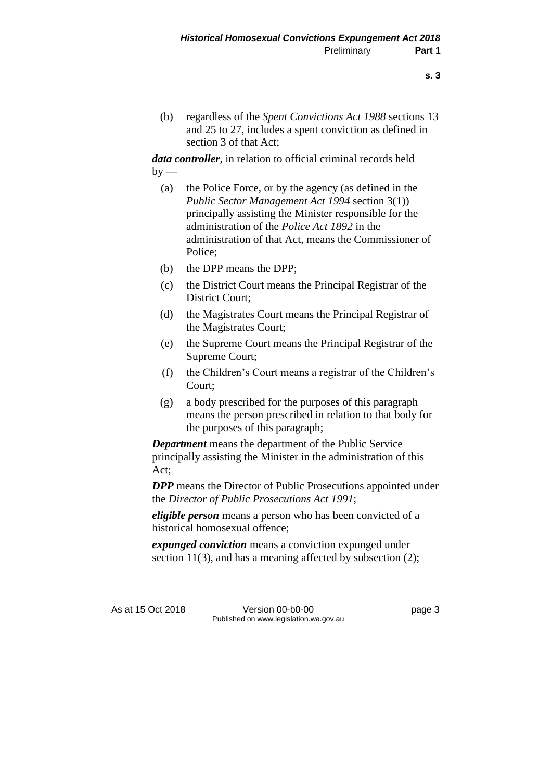(b) regardless of the *Spent Convictions Act 1988* sections 13 and 25 to 27, includes a spent conviction as defined in section 3 of that Act;

*data controller*, in relation to official criminal records held  $by -$ 

- (a) the Police Force, or by the agency (as defined in the *Public Sector Management Act 1994* section 3(1)) principally assisting the Minister responsible for the administration of the *Police Act 1892* in the administration of that Act, means the Commissioner of Police;
- (b) the DPP means the DPP;
- (c) the District Court means the Principal Registrar of the District Court;
- (d) the Magistrates Court means the Principal Registrar of the Magistrates Court;
- (e) the Supreme Court means the Principal Registrar of the Supreme Court;
- (f) the Children's Court means a registrar of the Children's Court;
- (g) a body prescribed for the purposes of this paragraph means the person prescribed in relation to that body for the purposes of this paragraph;

*Department* means the department of the Public Service principally assisting the Minister in the administration of this Act;

*DPP* means the Director of Public Prosecutions appointed under the *Director of Public Prosecutions Act 1991*;

*eligible person* means a person who has been convicted of a historical homosexual offence;

*expunged conviction* means a conviction expunged under section 11(3), and has a meaning affected by subsection (2);

As at 15 Oct 2018 Version 00-b0-00 Page 3 Published on www.legislation.wa.gov.au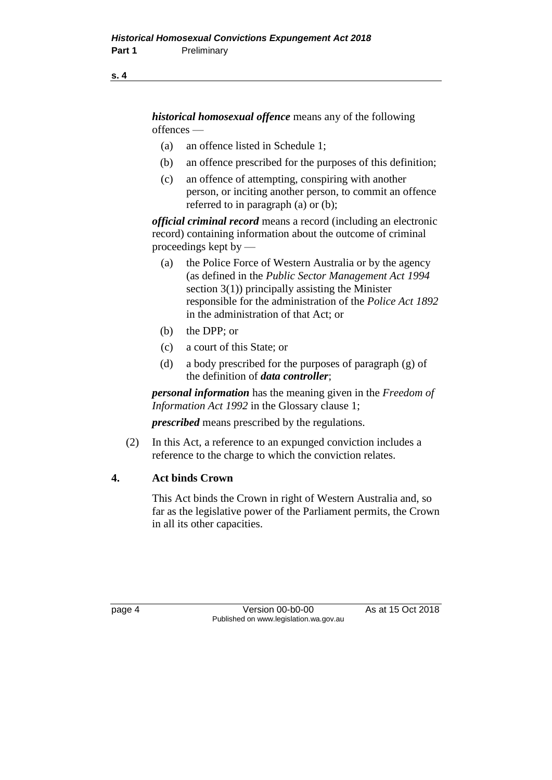#### **s. 4**

*historical homosexual offence* means any of the following offences —

- (a) an offence listed in Schedule 1;
- (b) an offence prescribed for the purposes of this definition;
- (c) an offence of attempting, conspiring with another person, or inciting another person, to commit an offence referred to in paragraph (a) or (b);

*official criminal record* means a record (including an electronic record) containing information about the outcome of criminal proceedings kept by —

- (a) the Police Force of Western Australia or by the agency (as defined in the *Public Sector Management Act 1994* section 3(1)) principally assisting the Minister responsible for the administration of the *Police Act 1892* in the administration of that Act; or
- (b) the DPP; or
- (c) a court of this State; or
- (d) a body prescribed for the purposes of paragraph (g) of the definition of *data controller*;

*personal information* has the meaning given in the *Freedom of Information Act 1992* in the Glossary clause 1;

*prescribed* means prescribed by the regulations.

(2) In this Act, a reference to an expunged conviction includes a reference to the charge to which the conviction relates.

## **4. Act binds Crown**

This Act binds the Crown in right of Western Australia and, so far as the legislative power of the Parliament permits, the Crown in all its other capacities.

page 4 Version 00-b0-00 As at 15 Oct 2018 Published on www.legislation.wa.gov.au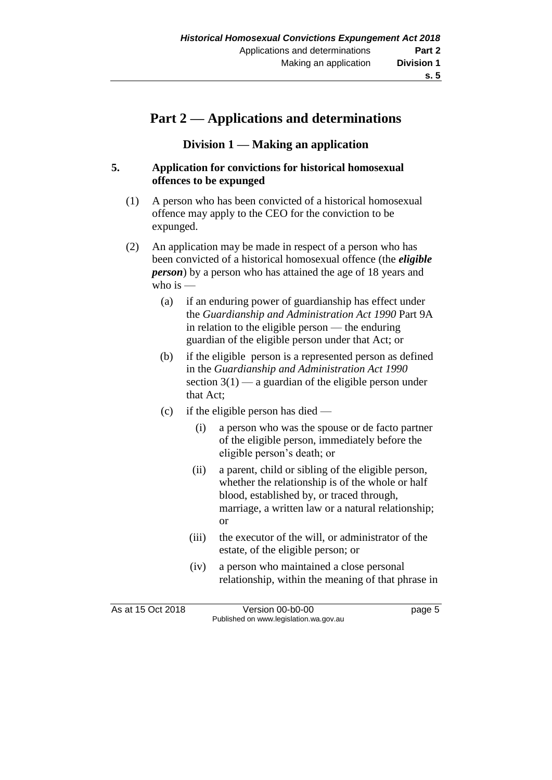# **Part 2 — Applications and determinations**

### **Division 1 — Making an application**

#### **5. Application for convictions for historical homosexual offences to be expunged**

- (1) A person who has been convicted of a historical homosexual offence may apply to the CEO for the conviction to be expunged.
- (2) An application may be made in respect of a person who has been convicted of a historical homosexual offence (the *eligible person*) by a person who has attained the age of 18 years and who is —
	- (a) if an enduring power of guardianship has effect under the *Guardianship and Administration Act 1990* Part 9A in relation to the eligible person — the enduring guardian of the eligible person under that Act; or
	- (b) if the eligible person is a represented person as defined in the *Guardianship and Administration Act 1990* section  $3(1)$  — a guardian of the eligible person under that Act;
	- (c) if the eligible person has died
		- (i) a person who was the spouse or de facto partner of the eligible person, immediately before the eligible person's death; or
		- (ii) a parent, child or sibling of the eligible person, whether the relationship is of the whole or half blood, established by, or traced through, marriage, a written law or a natural relationship; or
		- (iii) the executor of the will, or administrator of the estate, of the eligible person; or
		- (iv) a person who maintained a close personal relationship, within the meaning of that phrase in

As at 15 Oct 2018 **Version 00-b0-00** page 5 Published on www.legislation.wa.gov.au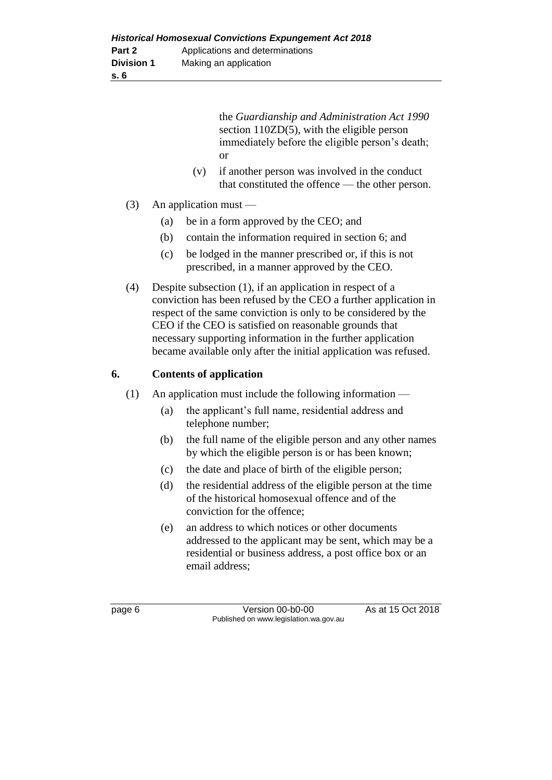the *Guardianship and Administration Act 1990* section 110ZD(5), with the eligible person immediately before the eligible person's death; or

- (v) if another person was involved in the conduct that constituted the offence — the other person.
- (3) An application must
	- (a) be in a form approved by the CEO; and
	- (b) contain the information required in section 6; and
	- (c) be lodged in the manner prescribed or, if this is not prescribed, in a manner approved by the CEO.
- (4) Despite subsection (1), if an application in respect of a conviction has been refused by the CEO a further application in respect of the same conviction is only to be considered by the CEO if the CEO is satisfied on reasonable grounds that necessary supporting information in the further application became available only after the initial application was refused.

# **6. Contents of application**

- (1) An application must include the following information
	- (a) the applicant's full name, residential address and telephone number;
	- (b) the full name of the eligible person and any other names by which the eligible person is or has been known;
	- (c) the date and place of birth of the eligible person;
	- (d) the residential address of the eligible person at the time of the historical homosexual offence and of the conviction for the offence;
	- (e) an address to which notices or other documents addressed to the applicant may be sent, which may be a residential or business address, a post office box or an email address;

page 6 **Version 00-b0-00** As at 15 Oct 2018 Published on www.legislation.wa.gov.au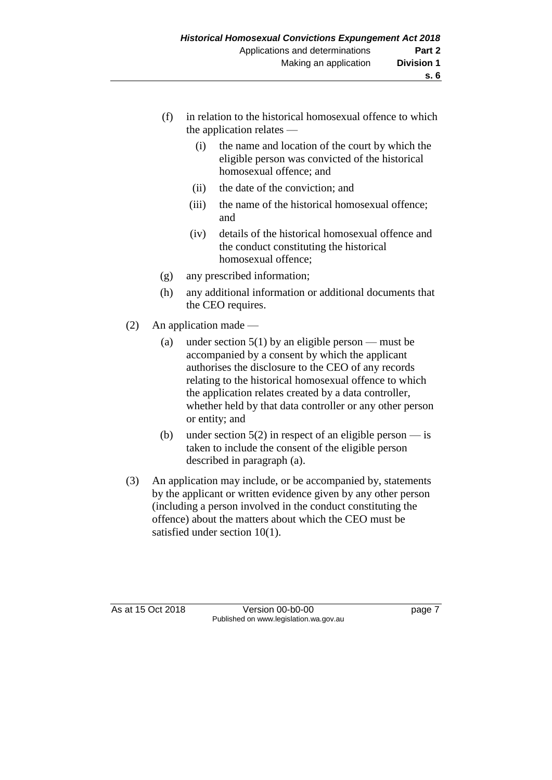- (f) in relation to the historical homosexual offence to which the application relates —
	- (i) the name and location of the court by which the eligible person was convicted of the historical homosexual offence; and
	- (ii) the date of the conviction; and
	- (iii) the name of the historical homosexual offence; and
	- (iv) details of the historical homosexual offence and the conduct constituting the historical homosexual offence;
- (g) any prescribed information;
- (h) any additional information or additional documents that the CEO requires.
- (2) An application made
	- (a) under section  $5(1)$  by an eligible person must be accompanied by a consent by which the applicant authorises the disclosure to the CEO of any records relating to the historical homosexual offence to which the application relates created by a data controller, whether held by that data controller or any other person or entity; and
	- (b) under section  $5(2)$  in respect of an eligible person is taken to include the consent of the eligible person described in paragraph (a).
- (3) An application may include, or be accompanied by, statements by the applicant or written evidence given by any other person (including a person involved in the conduct constituting the offence) about the matters about which the CEO must be satisfied under section 10(1).

As at 15 Oct 2018 Version 00-b0-00 Page 7 Published on www.legislation.wa.gov.au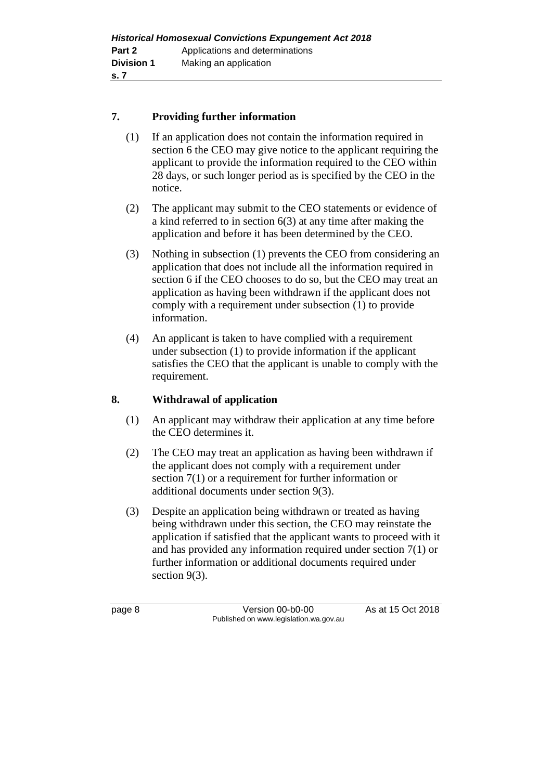### **7. Providing further information**

- (1) If an application does not contain the information required in section 6 the CEO may give notice to the applicant requiring the applicant to provide the information required to the CEO within 28 days, or such longer period as is specified by the CEO in the notice.
- (2) The applicant may submit to the CEO statements or evidence of a kind referred to in section 6(3) at any time after making the application and before it has been determined by the CEO.
- (3) Nothing in subsection (1) prevents the CEO from considering an application that does not include all the information required in section 6 if the CEO chooses to do so, but the CEO may treat an application as having been withdrawn if the applicant does not comply with a requirement under subsection (1) to provide information.
- (4) An applicant is taken to have complied with a requirement under subsection (1) to provide information if the applicant satisfies the CEO that the applicant is unable to comply with the requirement.

#### **8. Withdrawal of application**

- (1) An applicant may withdraw their application at any time before the CEO determines it.
- (2) The CEO may treat an application as having been withdrawn if the applicant does not comply with a requirement under section 7(1) or a requirement for further information or additional documents under section 9(3).
- (3) Despite an application being withdrawn or treated as having being withdrawn under this section, the CEO may reinstate the application if satisfied that the applicant wants to proceed with it and has provided any information required under section 7(1) or further information or additional documents required under section 9(3).

page 8 Version 00-b0-00 As at 15 Oct 2018 Published on www.legislation.wa.gov.au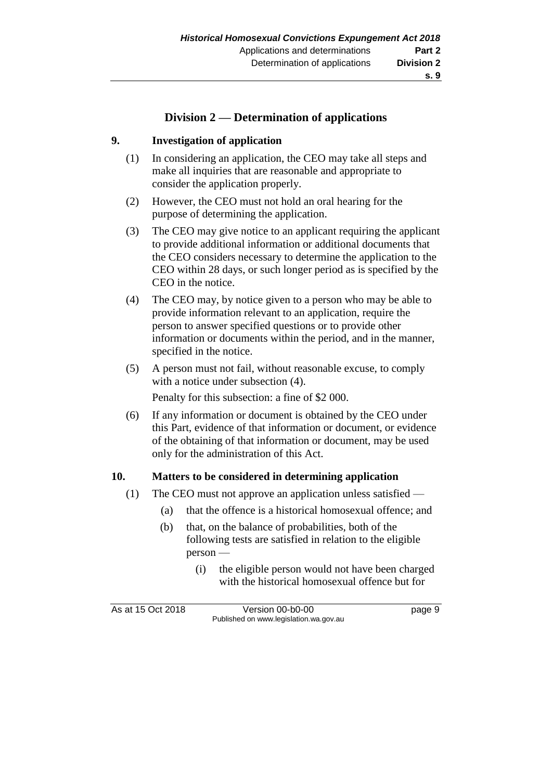# **Division 2 — Determination of applications**

#### **9. Investigation of application**

- (1) In considering an application, the CEO may take all steps and make all inquiries that are reasonable and appropriate to consider the application properly.
- (2) However, the CEO must not hold an oral hearing for the purpose of determining the application.
- (3) The CEO may give notice to an applicant requiring the applicant to provide additional information or additional documents that the CEO considers necessary to determine the application to the CEO within 28 days, or such longer period as is specified by the CEO in the notice.
- (4) The CEO may, by notice given to a person who may be able to provide information relevant to an application, require the person to answer specified questions or to provide other information or documents within the period, and in the manner, specified in the notice.
- (5) A person must not fail, without reasonable excuse, to comply with a notice under subsection (4).

Penalty for this subsection: a fine of \$2 000.

(6) If any information or document is obtained by the CEO under this Part, evidence of that information or document, or evidence of the obtaining of that information or document, may be used only for the administration of this Act.

#### **10. Matters to be considered in determining application**

- (1) The CEO must not approve an application unless satisfied
	- (a) that the offence is a historical homosexual offence; and
	- (b) that, on the balance of probabilities, both of the following tests are satisfied in relation to the eligible person —
		- (i) the eligible person would not have been charged with the historical homosexual offence but for

As at 15 Oct 2018 Version 00-b0-00 Page 9 Published on www.legislation.wa.gov.au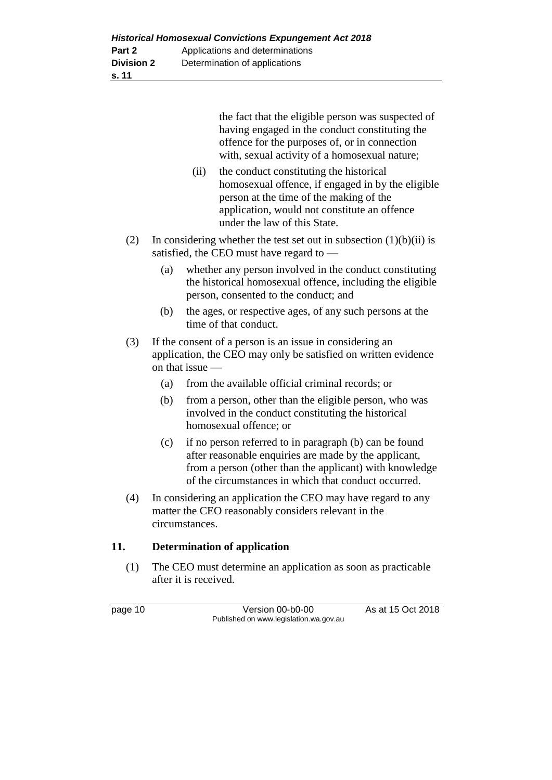the fact that the eligible person was suspected of having engaged in the conduct constituting the offence for the purposes of, or in connection with, sexual activity of a homosexual nature;

- (ii) the conduct constituting the historical homosexual offence, if engaged in by the eligible person at the time of the making of the application, would not constitute an offence under the law of this State.
- (2) In considering whether the test set out in subsection  $(1)(b)(ii)$  is satisfied, the CEO must have regard to —
	- (a) whether any person involved in the conduct constituting the historical homosexual offence, including the eligible person, consented to the conduct; and
	- (b) the ages, or respective ages, of any such persons at the time of that conduct.
- (3) If the consent of a person is an issue in considering an application, the CEO may only be satisfied on written evidence on that issue —
	- (a) from the available official criminal records; or
	- (b) from a person, other than the eligible person, who was involved in the conduct constituting the historical homosexual offence; or
	- (c) if no person referred to in paragraph (b) can be found after reasonable enquiries are made by the applicant, from a person (other than the applicant) with knowledge of the circumstances in which that conduct occurred.
- (4) In considering an application the CEO may have regard to any matter the CEO reasonably considers relevant in the circumstances.

## **11. Determination of application**

(1) The CEO must determine an application as soon as practicable after it is received.

page 10 Version 00-b0-00 As at 15 Oct 2018 Published on www.legislation.wa.gov.au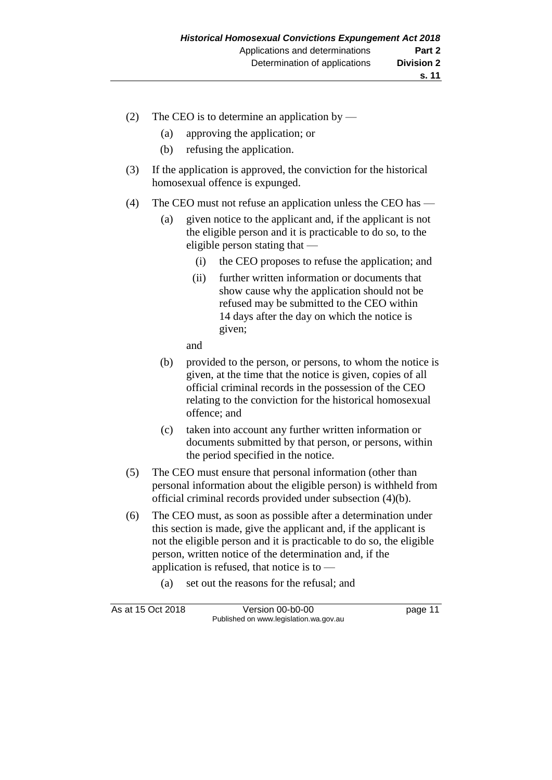- (2) The CEO is to determine an application by
	- (a) approving the application; or
	- (b) refusing the application.
- (3) If the application is approved, the conviction for the historical homosexual offence is expunged.
- (4) The CEO must not refuse an application unless the CEO has
	- (a) given notice to the applicant and, if the applicant is not the eligible person and it is practicable to do so, to the eligible person stating that —
		- (i) the CEO proposes to refuse the application; and
		- (ii) further written information or documents that show cause why the application should not be refused may be submitted to the CEO within 14 days after the day on which the notice is given;

and

- (b) provided to the person, or persons, to whom the notice is given, at the time that the notice is given, copies of all official criminal records in the possession of the CEO relating to the conviction for the historical homosexual offence; and
- (c) taken into account any further written information or documents submitted by that person, or persons, within the period specified in the notice.
- (5) The CEO must ensure that personal information (other than personal information about the eligible person) is withheld from official criminal records provided under subsection (4)(b).
- (6) The CEO must, as soon as possible after a determination under this section is made, give the applicant and, if the applicant is not the eligible person and it is practicable to do so, the eligible person, written notice of the determination and, if the application is refused, that notice is to —
	- (a) set out the reasons for the refusal; and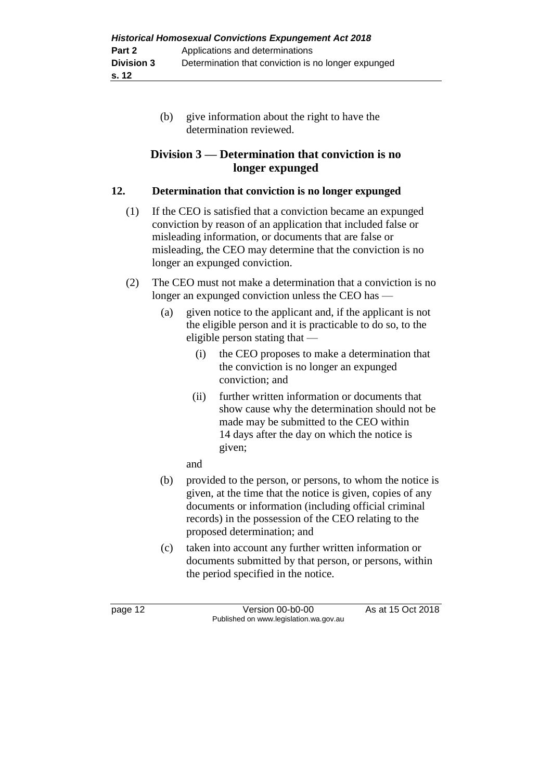(b) give information about the right to have the determination reviewed.

# **Division 3 — Determination that conviction is no longer expunged**

# **12. Determination that conviction is no longer expunged**

- (1) If the CEO is satisfied that a conviction became an expunged conviction by reason of an application that included false or misleading information, or documents that are false or misleading, the CEO may determine that the conviction is no longer an expunged conviction.
- (2) The CEO must not make a determination that a conviction is no longer an expunged conviction unless the CEO has —
	- (a) given notice to the applicant and, if the applicant is not the eligible person and it is practicable to do so, to the eligible person stating that —
		- (i) the CEO proposes to make a determination that the conviction is no longer an expunged conviction; and
		- (ii) further written information or documents that show cause why the determination should not be made may be submitted to the CEO within 14 days after the day on which the notice is given;

and

- (b) provided to the person, or persons, to whom the notice is given, at the time that the notice is given, copies of any documents or information (including official criminal records) in the possession of the CEO relating to the proposed determination; and
- (c) taken into account any further written information or documents submitted by that person, or persons, within the period specified in the notice.

page 12 **Version 00-b0-00** As at 15 Oct 2018 Published on www.legislation.wa.gov.au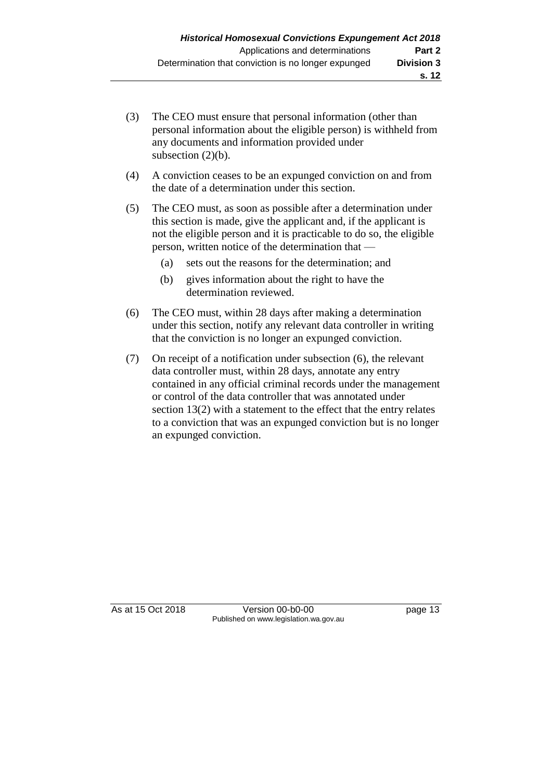- (3) The CEO must ensure that personal information (other than personal information about the eligible person) is withheld from any documents and information provided under subsection  $(2)(b)$ .
- (4) A conviction ceases to be an expunged conviction on and from the date of a determination under this section.
- (5) The CEO must, as soon as possible after a determination under this section is made, give the applicant and, if the applicant is not the eligible person and it is practicable to do so, the eligible person, written notice of the determination that —
	- (a) sets out the reasons for the determination; and
	- (b) gives information about the right to have the determination reviewed.
- (6) The CEO must, within 28 days after making a determination under this section, notify any relevant data controller in writing that the conviction is no longer an expunged conviction.
- (7) On receipt of a notification under subsection (6), the relevant data controller must, within 28 days, annotate any entry contained in any official criminal records under the management or control of the data controller that was annotated under section 13(2) with a statement to the effect that the entry relates to a conviction that was an expunged conviction but is no longer an expunged conviction.

As at 15 Oct 2018 Version 00-b0-00 Page 13 Published on www.legislation.wa.gov.au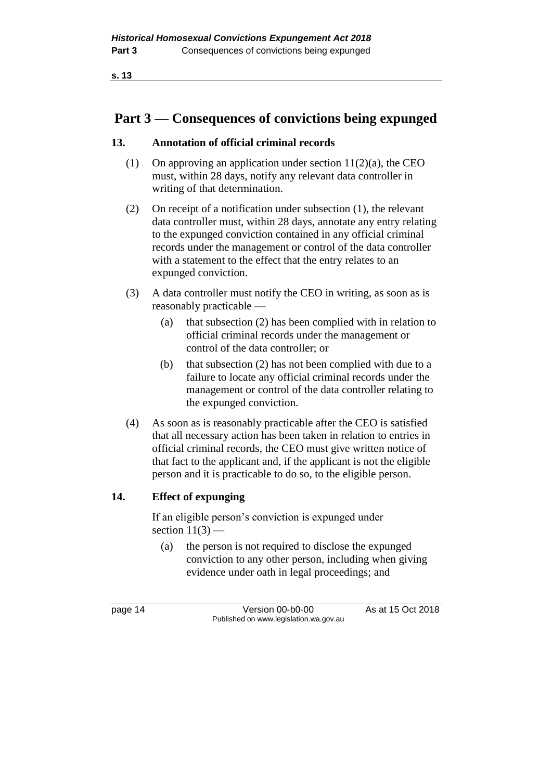**s. 13**

# **Part 3 — Consequences of convictions being expunged**

## **13. Annotation of official criminal records**

- (1) On approving an application under section  $11(2)(a)$ , the CEO must, within 28 days, notify any relevant data controller in writing of that determination.
- (2) On receipt of a notification under subsection (1), the relevant data controller must, within 28 days, annotate any entry relating to the expunged conviction contained in any official criminal records under the management or control of the data controller with a statement to the effect that the entry relates to an expunged conviction.
- (3) A data controller must notify the CEO in writing, as soon as is reasonably practicable —
	- (a) that subsection (2) has been complied with in relation to official criminal records under the management or control of the data controller; or
	- (b) that subsection (2) has not been complied with due to a failure to locate any official criminal records under the management or control of the data controller relating to the expunged conviction.
- (4) As soon as is reasonably practicable after the CEO is satisfied that all necessary action has been taken in relation to entries in official criminal records, the CEO must give written notice of that fact to the applicant and, if the applicant is not the eligible person and it is practicable to do so, to the eligible person.

#### **14. Effect of expunging**

If an eligible person's conviction is expunged under section  $11(3)$  –

(a) the person is not required to disclose the expunged conviction to any other person, including when giving evidence under oath in legal proceedings; and

page 14 Version 00-b0-00 As at 15 Oct 2018 Published on www.legislation.wa.gov.au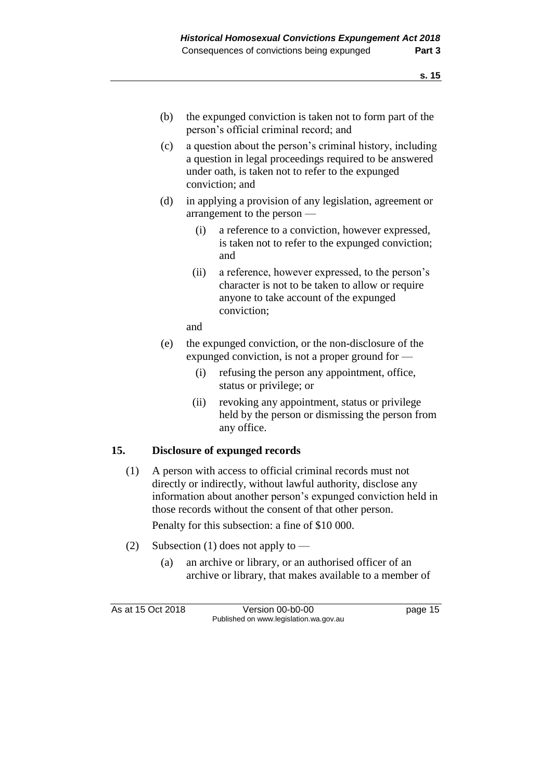- (b) the expunged conviction is taken not to form part of the person's official criminal record; and
- (c) a question about the person's criminal history, including a question in legal proceedings required to be answered under oath, is taken not to refer to the expunged conviction; and
- (d) in applying a provision of any legislation, agreement or arrangement to the person —
	- (i) a reference to a conviction, however expressed, is taken not to refer to the expunged conviction; and
	- (ii) a reference, however expressed, to the person's character is not to be taken to allow or require anyone to take account of the expunged conviction;

and

- (e) the expunged conviction, or the non-disclosure of the expunged conviction, is not a proper ground for —
	- (i) refusing the person any appointment, office, status or privilege; or
	- (ii) revoking any appointment, status or privilege held by the person or dismissing the person from any office.

## **15. Disclosure of expunged records**

(1) A person with access to official criminal records must not directly or indirectly, without lawful authority, disclose any information about another person's expunged conviction held in those records without the consent of that other person.

Penalty for this subsection: a fine of \$10 000.

- (2) Subsection (1) does not apply to
	- (a) an archive or library, or an authorised officer of an archive or library, that makes available to a member of

As at 15 Oct 2018 Version 00-b0-00 page 15 Published on www.legislation.wa.gov.au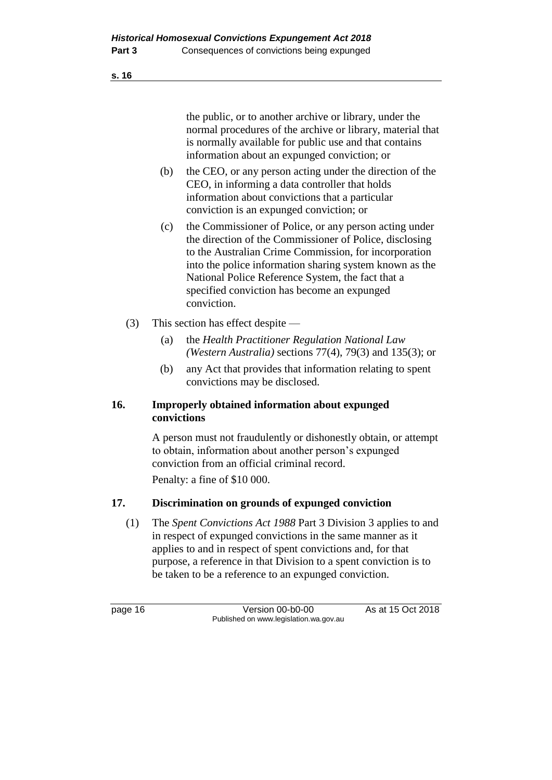the public, or to another archive or library, under the normal procedures of the archive or library, material that is normally available for public use and that contains information about an expunged conviction; or

- (b) the CEO, or any person acting under the direction of the CEO, in informing a data controller that holds information about convictions that a particular conviction is an expunged conviction; or
- (c) the Commissioner of Police, or any person acting under the direction of the Commissioner of Police, disclosing to the Australian Crime Commission, for incorporation into the police information sharing system known as the National Police Reference System, the fact that a specified conviction has become an expunged conviction.
- (3) This section has effect despite
	- (a) the *Health Practitioner Regulation National Law (Western Australia)* sections 77(4), 79(3) and 135(3); or
	- (b) any Act that provides that information relating to spent convictions may be disclosed.

#### **16. Improperly obtained information about expunged convictions**

A person must not fraudulently or dishonestly obtain, or attempt to obtain, information about another person's expunged conviction from an official criminal record.

Penalty: a fine of \$10 000.

## **17. Discrimination on grounds of expunged conviction**

(1) The *Spent Convictions Act 1988* Part 3 Division 3 applies to and in respect of expunged convictions in the same manner as it applies to and in respect of spent convictions and, for that purpose, a reference in that Division to a spent conviction is to be taken to be a reference to an expunged conviction.

page 16 **Version 00-b0-00** As at 15 Oct 2018 Published on www.legislation.wa.gov.au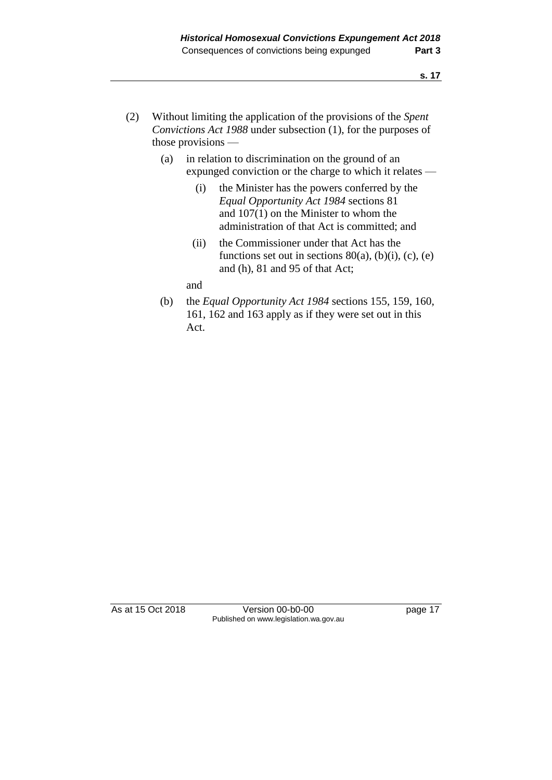- (2) Without limiting the application of the provisions of the *Spent Convictions Act 1988* under subsection (1), for the purposes of those provisions —
	- (a) in relation to discrimination on the ground of an expunged conviction or the charge to which it relates —
		- (i) the Minister has the powers conferred by the *Equal Opportunity Act 1984* sections 81 and 107(1) on the Minister to whom the administration of that Act is committed; and
		- (ii) the Commissioner under that Act has the functions set out in sections  $80(a)$ ,  $(b)(i)$ ,  $(c)$ ,  $(e)$ and (h), 81 and 95 of that Act;

and

(b) the *Equal Opportunity Act 1984* sections 155, 159, 160, 161, 162 and 163 apply as if they were set out in this Act.

As at 15 Oct 2018 Version 00-b0-00 page 17 Published on www.legislation.wa.gov.au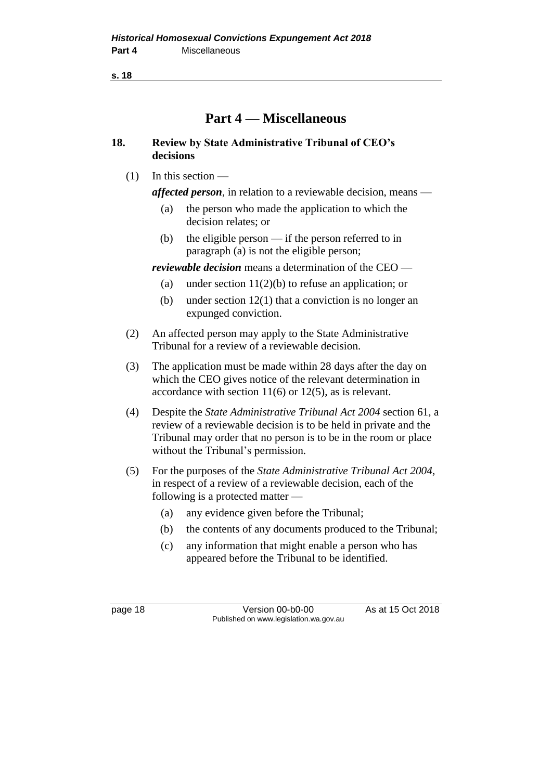**s. 18**

# **Part 4 — Miscellaneous**

## **18. Review by State Administrative Tribunal of CEO's decisions**

(1) In this section —

*affected person*, in relation to a reviewable decision, means —

- (a) the person who made the application to which the decision relates; or
- (b) the eligible person if the person referred to in paragraph (a) is not the eligible person;

*reviewable decision* means a determination of the CEO —

- (a) under section  $11(2)(b)$  to refuse an application; or
- (b) under section 12(1) that a conviction is no longer an expunged conviction.
- (2) An affected person may apply to the State Administrative Tribunal for a review of a reviewable decision.
- (3) The application must be made within 28 days after the day on which the CEO gives notice of the relevant determination in accordance with section 11(6) or 12(5), as is relevant.
- (4) Despite the *State Administrative Tribunal Act 2004* section 61, a review of a reviewable decision is to be held in private and the Tribunal may order that no person is to be in the room or place without the Tribunal's permission.
- (5) For the purposes of the *State Administrative Tribunal Act 2004*, in respect of a review of a reviewable decision, each of the following is a protected matter —
	- (a) any evidence given before the Tribunal;
	- (b) the contents of any documents produced to the Tribunal;
	- (c) any information that might enable a person who has appeared before the Tribunal to be identified.

page 18 Version 00-b0-00 As at 15 Oct 2018 Published on www.legislation.wa.gov.au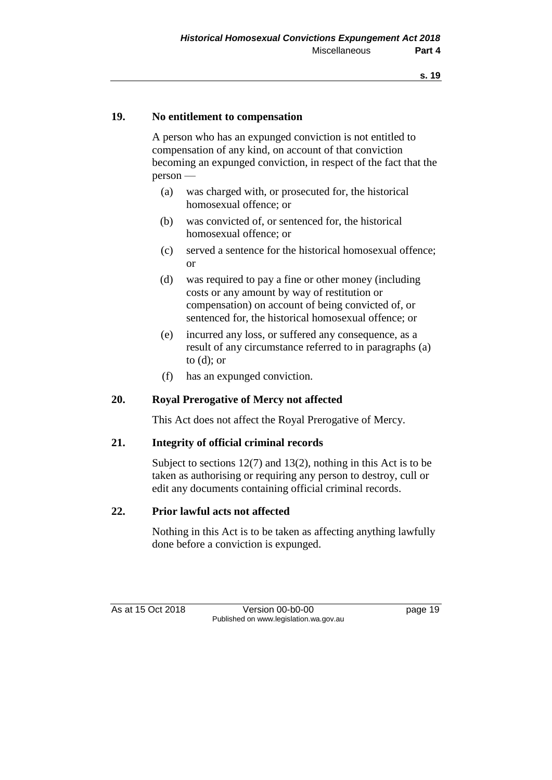#### **19. No entitlement to compensation**

A person who has an expunged conviction is not entitled to compensation of any kind, on account of that conviction becoming an expunged conviction, in respect of the fact that the person —

- (a) was charged with, or prosecuted for, the historical homosexual offence; or
- (b) was convicted of, or sentenced for, the historical homosexual offence; or
- (c) served a sentence for the historical homosexual offence; or
- (d) was required to pay a fine or other money (including costs or any amount by way of restitution or compensation) on account of being convicted of, or sentenced for, the historical homosexual offence; or
- (e) incurred any loss, or suffered any consequence, as a result of any circumstance referred to in paragraphs (a) to (d); or
- (f) has an expunged conviction.

#### **20. Royal Prerogative of Mercy not affected**

This Act does not affect the Royal Prerogative of Mercy.

#### **21. Integrity of official criminal records**

Subject to sections 12(7) and 13(2), nothing in this Act is to be taken as authorising or requiring any person to destroy, cull or edit any documents containing official criminal records.

#### **22. Prior lawful acts not affected**

Nothing in this Act is to be taken as affecting anything lawfully done before a conviction is expunged.

As at 15 Oct 2018 Version 00-b0-00 page 19 Published on www.legislation.wa.gov.au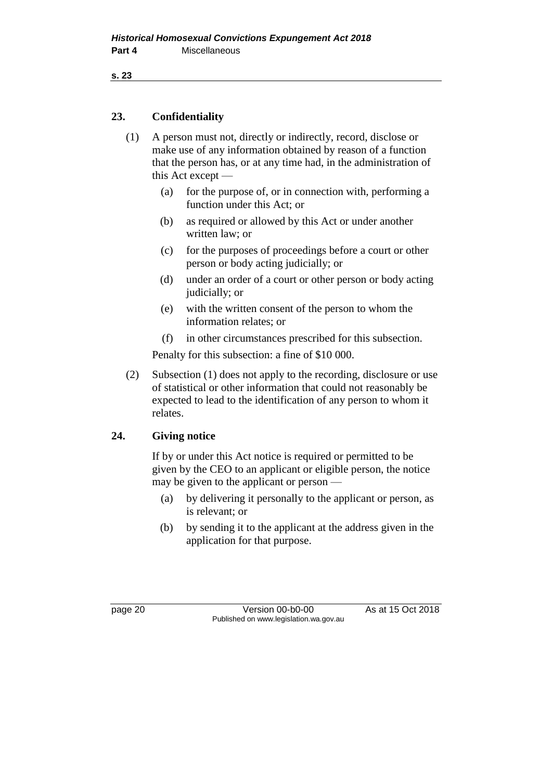```
s. 23
```
# **23. Confidentiality**

- (1) A person must not, directly or indirectly, record, disclose or make use of any information obtained by reason of a function that the person has, or at any time had, in the administration of this Act except —
	- (a) for the purpose of, or in connection with, performing a function under this Act; or
	- (b) as required or allowed by this Act or under another written law; or
	- (c) for the purposes of proceedings before a court or other person or body acting judicially; or
	- (d) under an order of a court or other person or body acting judicially; or
	- (e) with the written consent of the person to whom the information relates; or
	- (f) in other circumstances prescribed for this subsection.

Penalty for this subsection: a fine of \$10 000.

(2) Subsection (1) does not apply to the recording, disclosure or use of statistical or other information that could not reasonably be expected to lead to the identification of any person to whom it relates.

## **24. Giving notice**

If by or under this Act notice is required or permitted to be given by the CEO to an applicant or eligible person, the notice may be given to the applicant or person —

- (a) by delivering it personally to the applicant or person, as is relevant; or
- (b) by sending it to the applicant at the address given in the application for that purpose.

page 20 Version 00-b0-00 As at 15 Oct 2018 Published on www.legislation.wa.gov.au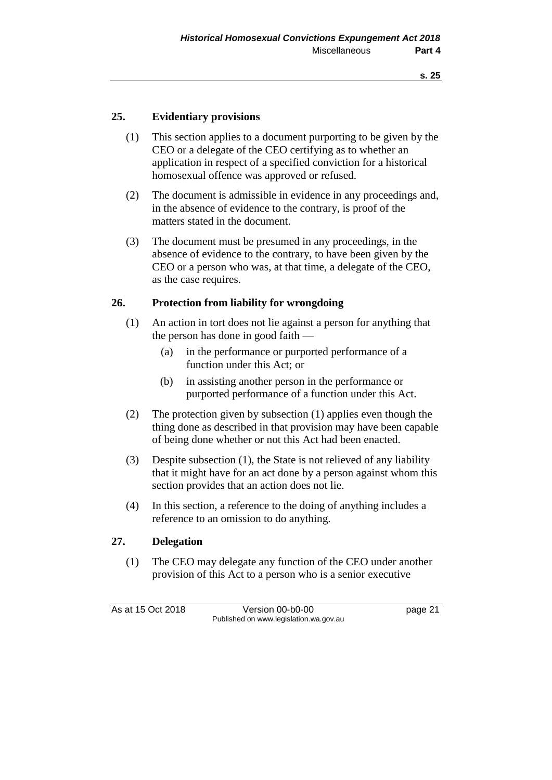#### **25. Evidentiary provisions**

- (1) This section applies to a document purporting to be given by the CEO or a delegate of the CEO certifying as to whether an application in respect of a specified conviction for a historical homosexual offence was approved or refused.
- (2) The document is admissible in evidence in any proceedings and, in the absence of evidence to the contrary, is proof of the matters stated in the document.
- (3) The document must be presumed in any proceedings, in the absence of evidence to the contrary, to have been given by the CEO or a person who was, at that time, a delegate of the CEO, as the case requires.

#### **26. Protection from liability for wrongdoing**

- (1) An action in tort does not lie against a person for anything that the person has done in good faith —
	- (a) in the performance or purported performance of a function under this Act; or
	- (b) in assisting another person in the performance or purported performance of a function under this Act.
- (2) The protection given by subsection (1) applies even though the thing done as described in that provision may have been capable of being done whether or not this Act had been enacted.
- (3) Despite subsection (1), the State is not relieved of any liability that it might have for an act done by a person against whom this section provides that an action does not lie.
- (4) In this section, a reference to the doing of anything includes a reference to an omission to do anything.

#### **27. Delegation**

(1) The CEO may delegate any function of the CEO under another provision of this Act to a person who is a senior executive

As at 15 Oct 2018 Version 00-b0-00 page 21 Published on www.legislation.wa.gov.au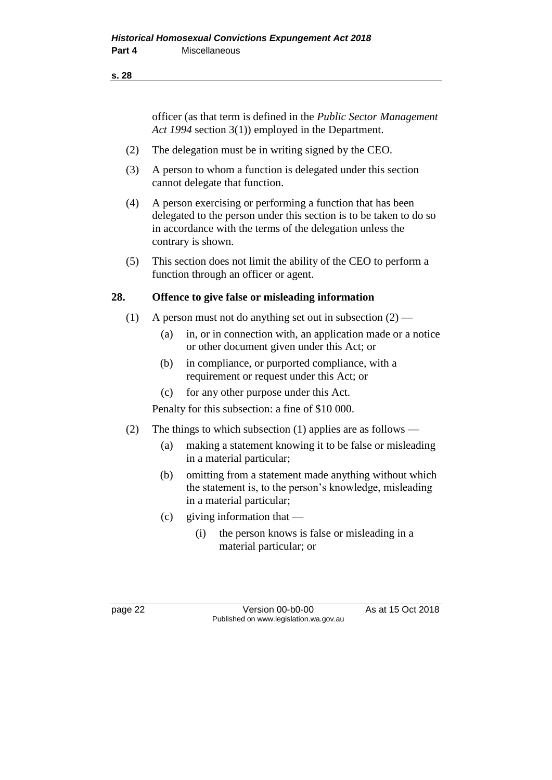#### **s. 28**

officer (as that term is defined in the *Public Sector Management Act 1994* section 3(1)) employed in the Department.

- (2) The delegation must be in writing signed by the CEO.
- (3) A person to whom a function is delegated under this section cannot delegate that function.
- (4) A person exercising or performing a function that has been delegated to the person under this section is to be taken to do so in accordance with the terms of the delegation unless the contrary is shown.
- (5) This section does not limit the ability of the CEO to perform a function through an officer or agent.

#### **28. Offence to give false or misleading information**

- (1) A person must not do anything set out in subsection  $(2)$ 
	- (a) in, or in connection with, an application made or a notice or other document given under this Act; or
	- (b) in compliance, or purported compliance, with a requirement or request under this Act; or
	- (c) for any other purpose under this Act.

Penalty for this subsection: a fine of \$10 000.

- (2) The things to which subsection (1) applies are as follows
	- (a) making a statement knowing it to be false or misleading in a material particular;
	- (b) omitting from a statement made anything without which the statement is, to the person's knowledge, misleading in a material particular;
	- (c) giving information that
		- (i) the person knows is false or misleading in a material particular; or

page 22 Version 00-b0-00 As at 15 Oct 2018 Published on www.legislation.wa.gov.au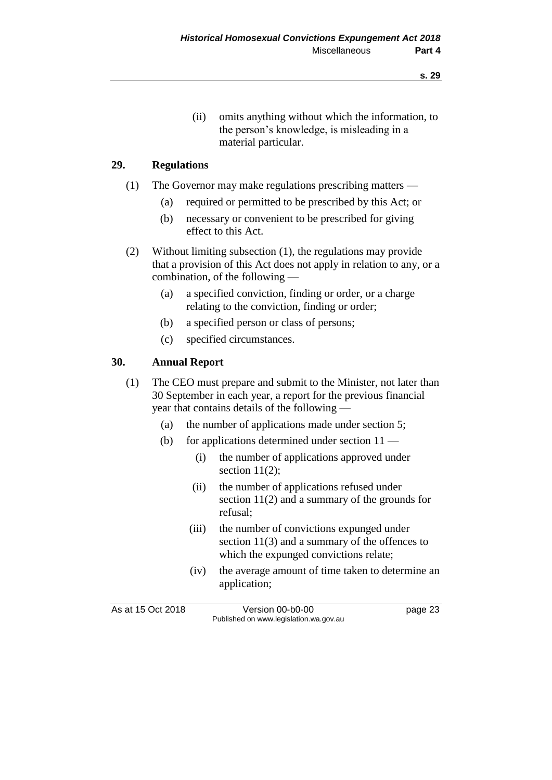(ii) omits anything without which the information, to the person's knowledge, is misleading in a material particular.

#### **29. Regulations**

- (1) The Governor may make regulations prescribing matters
	- (a) required or permitted to be prescribed by this Act; or
	- (b) necessary or convenient to be prescribed for giving effect to this Act.
- (2) Without limiting subsection (1), the regulations may provide that a provision of this Act does not apply in relation to any, or a combination, of the following —
	- (a) a specified conviction, finding or order, or a charge relating to the conviction, finding or order;
	- (b) a specified person or class of persons;
	- (c) specified circumstances.

#### **30. Annual Report**

- (1) The CEO must prepare and submit to the Minister, not later than 30 September in each year, a report for the previous financial year that contains details of the following —
	- (a) the number of applications made under section 5;
	- (b) for applications determined under section  $11$ 
		- (i) the number of applications approved under section  $11(2)$ ;
		- (ii) the number of applications refused under section 11(2) and a summary of the grounds for refusal;
		- (iii) the number of convictions expunged under section 11(3) and a summary of the offences to which the expunged convictions relate;
		- (iv) the average amount of time taken to determine an application;

As at 15 Oct 2018 Version 00-b0-00 page 23 Published on www.legislation.wa.gov.au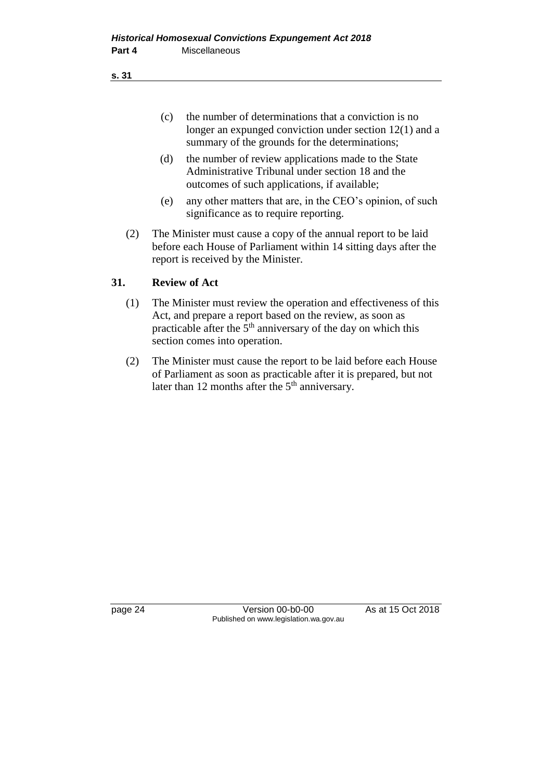**s. 31**

- (c) the number of determinations that a conviction is no longer an expunged conviction under section 12(1) and a summary of the grounds for the determinations;
- (d) the number of review applications made to the State Administrative Tribunal under section 18 and the outcomes of such applications, if available;
- (e) any other matters that are, in the CEO's opinion, of such significance as to require reporting.
- (2) The Minister must cause a copy of the annual report to be laid before each House of Parliament within 14 sitting days after the report is received by the Minister.

# **31. Review of Act**

- (1) The Minister must review the operation and effectiveness of this Act, and prepare a report based on the review, as soon as practicable after the  $5<sup>th</sup>$  anniversary of the day on which this section comes into operation.
- (2) The Minister must cause the report to be laid before each House of Parliament as soon as practicable after it is prepared, but not later than 12 months after the  $5<sup>th</sup>$  anniversary.

page 24 Version 00-b0-00 As at 15 Oct 2018 Published on www.legislation.wa.gov.au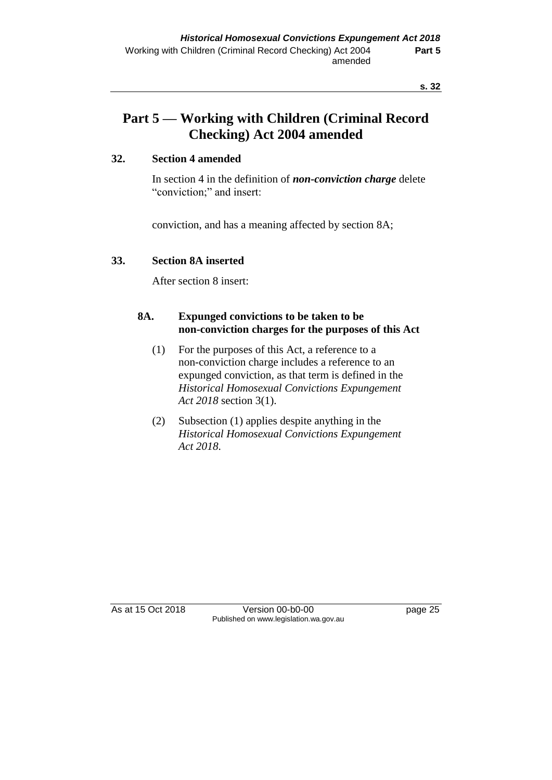# **Part 5 — Working with Children (Criminal Record Checking) Act 2004 amended**

### **32. Section 4 amended**

In section 4 in the definition of *non-conviction charge* delete "conviction;" and insert:

conviction, and has a meaning affected by section 8A;

#### **33. Section 8A inserted**

After section 8 insert:

### **8A. Expunged convictions to be taken to be non-conviction charges for the purposes of this Act**

- (1) For the purposes of this Act, a reference to a non-conviction charge includes a reference to an expunged conviction, as that term is defined in the *Historical Homosexual Convictions Expungement Act 2018* section 3(1).
- (2) Subsection (1) applies despite anything in the *Historical Homosexual Convictions Expungement Act 2018*.

As at 15 Oct 2018 **Version 00-b0-00** page 25 Published on www.legislation.wa.gov.au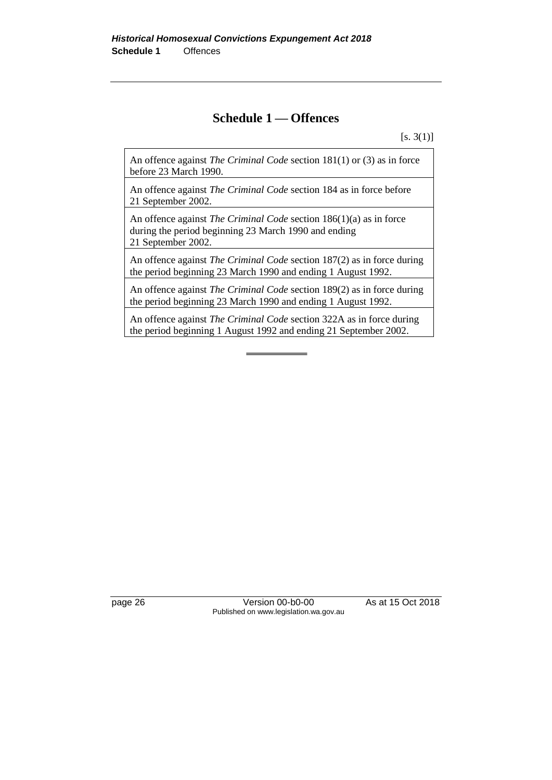# **Schedule 1 — Offences**

 $[s. 3(1)]$ 

An offence against *The Criminal Code* section 181(1) or (3) as in force before 23 March 1990.

An offence against *The Criminal Code* section 184 as in force before 21 September 2002.

An offence against *The Criminal Code* section 186(1)(a) as in force during the period beginning 23 March 1990 and ending 21 September 2002.

An offence against *The Criminal Code* section 187(2) as in force during the period beginning 23 March 1990 and ending 1 August 1992.

An offence against *The Criminal Code* section 189(2) as in force during the period beginning 23 March 1990 and ending 1 August 1992.

An offence against *The Criminal Code* section 322A as in force during the period beginning 1 August 1992 and ending 21 September 2002.

page 26 Version 00-b0-00 As at 15 Oct 2018 Published on www.legislation.wa.gov.au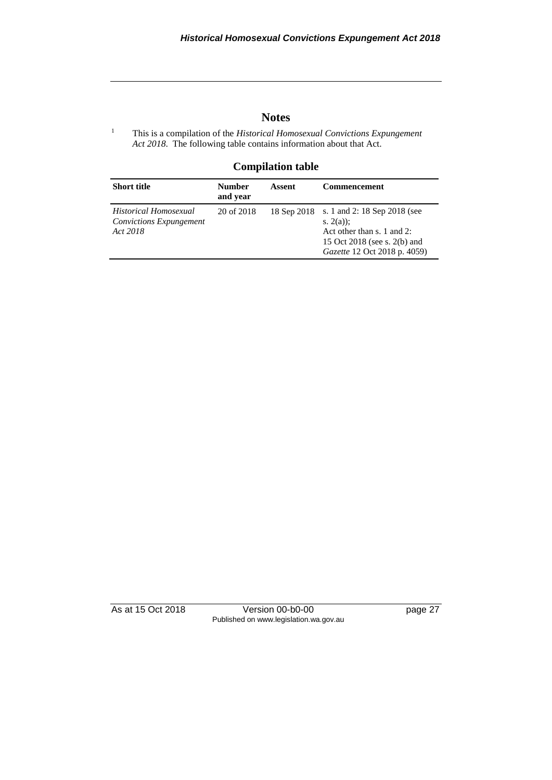## **Notes**

<sup>1</sup> This is a compilation of the *Historical Homosexual Convictions Expungement Act 2018*. The following table contains information about that Act.

#### **Compilation table**

| <b>Short title</b>                                                  | <b>Number</b><br>and year | Assent      | <b>Commencement</b>                                                                                                                       |
|---------------------------------------------------------------------|---------------------------|-------------|-------------------------------------------------------------------------------------------------------------------------------------------|
| Historical Homosexual<br><b>Convictions Expungement</b><br>Act 2018 | 20 of 2018                | 18 Sep 2018 | s. 1 and 2: 18 Sep 2018 (see<br>s. $2(a)$ :<br>Act other than s. 1 and 2:<br>15 Oct 2018 (see s. 2(b) and<br>Gazette 12 Oct 2018 p. 4059) |

As at 15 Oct 2018 Version 00-b0-00 page 27 Published on www.legislation.wa.gov.au